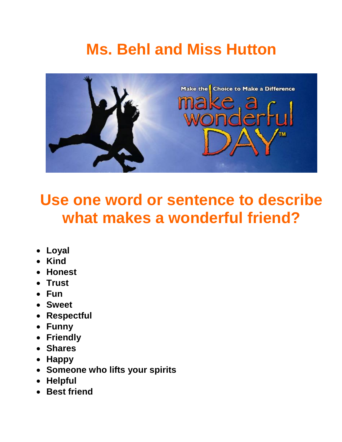## **Ms. Behl and Miss Hutton**



### **Use one word or sentence to describe what makes a wonderful friend?**

- **Loyal**
- **Kind**
- **Honest**
- **Trust**
- **Fun**
- **Sweet**
- **Respectful**
- **Funny**
- **Friendly**
- **Shares**
- **Happy**
- **Someone who lifts your spirits**
- **Helpful**
- **Best friend**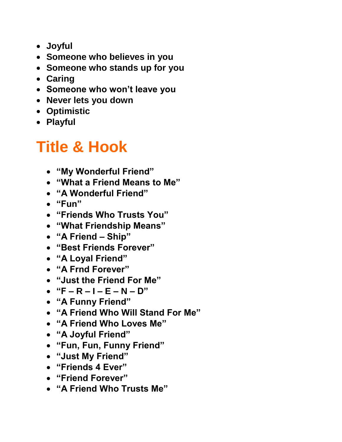- **Joyful**
- **Someone who believes in you**
- **Someone who stands up for you**
- **Caring**
- **Someone who won"t leave you**
- **Never lets you down**
- **Optimistic**
- **Playful**

### **Title & Hook**

- **"My Wonderful Friend"**
- **"What a Friend Means to Me"**
- **"A Wonderful Friend"**
- **"Fun"**
- **"Friends Who Trusts You"**
- **"What Friendship Means"**
- **"A Friend – Ship"**
- **"Best Friends Forever"**
- **"A Loyal Friend"**
- **"A Frnd Forever"**
- **"Just the Friend For Me"**
- **"F – R – I – E – N – D"**
- **"A Funny Friend"**
- **"A Friend Who Will Stand For Me"**
- **"A Friend Who Loves Me"**
- **"A Joyful Friend"**
- **"Fun, Fun, Funny Friend"**
- **"Just My Friend"**
- **"Friends 4 Ever"**
- **"Friend Forever"**
- **"A Friend Who Trusts Me"**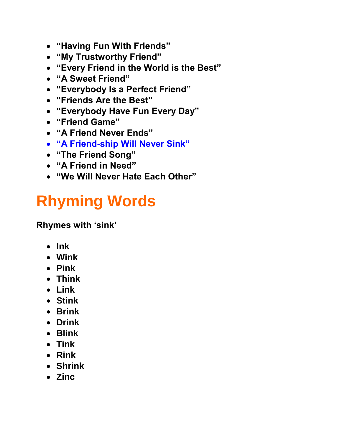- **"Having Fun With Friends"**
- **"My Trustworthy Friend"**
- **"Every Friend in the World is the Best"**
- **"A Sweet Friend"**
- **"Everybody Is a Perfect Friend"**
- **"Friends Are the Best"**
- **"Everybody Have Fun Every Day"**
- **"Friend Game"**
- **"A Friend Never Ends"**
- **"A Friend-ship Will Never Sink"**
- **"The Friend Song"**
- **"A Friend in Need"**
- **"We Will Never Hate Each Other"**

# **Rhyming Words**

**Rhymes with "sink"**

- **Ink**
- **Wink**
- **Pink**
- **Think**
- **Link**
- **Stink**
- **Brink**
- **Drink**
- **Blink**
- **Tink**
- **Rink**
- **Shrink**
- **Zinc**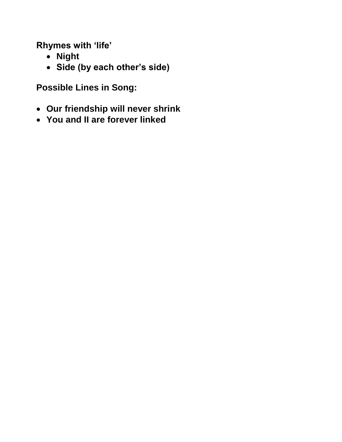**Rhymes with "life"**

- **Night**
- **Side (by each other"s side)**

**Possible Lines in Song:**

- **Our friendship will never shrink**
- **You and II are forever linked**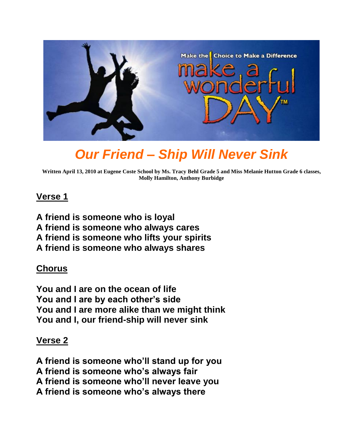

### *Our Friend – Ship Will Never Sink*

**Written April 13, 2010 at Eugene Coste School by Ms. Tracy Behl Grade 5 and Miss Melanie Hutton Grade 6 classes, Molly Hamilton, Anthony Burbidge**

#### **Verse 1**

**A friend is someone who is loyal A friend is someone who always cares A friend is someone who lifts your spirits A friend is someone who always shares**

#### **Chorus**

**You and I are on the ocean of life You and I are by each other"s side You and I are more alike than we might think You and I, our friend-ship will never sink**

#### **Verse 2**

**A friend is someone who"ll stand up for you A friend is someone who"s always fair A friend is someone who"ll never leave you A friend is someone who"s always there**